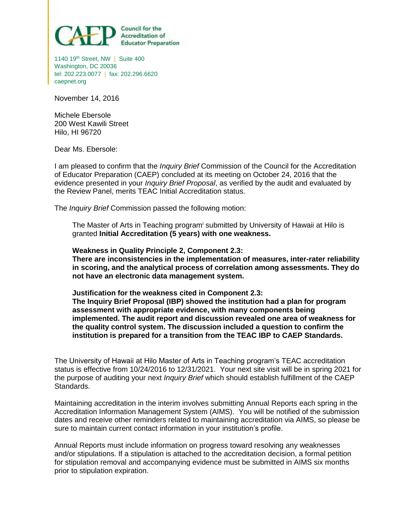

1140 19<sup>th</sup> Street, NW | Suite 400 Washington, DC 20036 tel: 202.223.0077 | fax: 202.296.6620 caepnet.org

November 14, 2016

Michele Ebersole 200 West Kawili Street Hilo, HI 96720

Dear Ms. Ebersole:

I am pleased to confirm that the *Inquiry Brief* Commission of the Council for the Accreditation of Educator Preparation (CAEP) concluded at its meeting on October 24, 2016 that the evidence presented in your *Inquiry Brief Proposal*, as verified by the audit and evaluated by the Review Panel, merits TEAC Initial Accreditation status.

The *Inquiry Brief* Commission passed the following motion:

The Master of Arts in Teaching program<sup>i</sup> submitted by University of Hawaii at Hilo is granted **Initial Accreditation (5 years) with one weakness.**

**Weakness in Quality Principle 2, Component 2.3: There are inconsistencies in the implementation of measures, inter-rater reliability in scoring, and the analytical process of correlation among assessments. They do not have an electronic data management system.** 

**Justification for the weakness cited in Component 2.3: The Inquiry Brief Proposal (IBP) showed the institution had a plan for program assessment with appropriate evidence, with many components being implemented. The audit report and discussion revealed one area of weakness for the quality control system. The discussion included a question to confirm the institution is prepared for a transition from the TEAC IBP to CAEP Standards.** 

The University of Hawaii at Hilo Master of Arts in Teaching program's TEAC accreditation status is effective from 10/24/2016 to 12/31/2021. Your next site visit will be in spring 2021 for the purpose of auditing your next *Inquiry Brief* which should establish fulfillment of the CAEP Standards.

Maintaining accreditation in the interim involves submitting Annual Reports each spring in the Accreditation Information Management System (AIMS). You will be notified of the submission dates and receive other reminders related to maintaining accreditation via AIMS, so please be sure to maintain current contact information in your institution's profile.

Annual Reports must include information on progress toward resolving any weaknesses and/or stipulations. If a stipulation is attached to the accreditation decision, a formal petition for stipulation removal and accompanying evidence must be submitted in AIMS six months prior to stipulation expiration.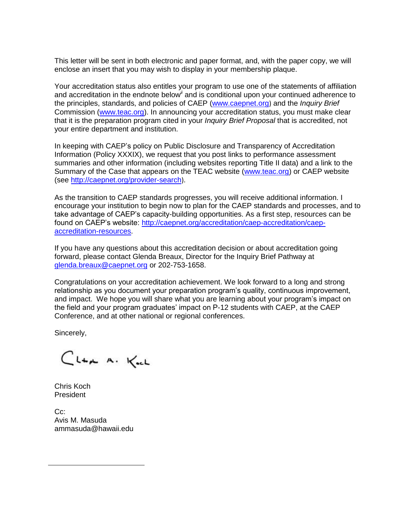This letter will be sent in both electronic and paper format, and, with the paper copy, we will enclose an insert that you may wish to display in your membership plaque.

Your accreditation status also entitles your program to use one of the statements of affiliation and accreditation in the endnote below*ii* and is conditional upon your continued adherence to the principles, standards, and policies of CAEP [\(www.caepnet.org](http://www.caepnet.org/)) and the *Inquiry Brief* Commission [\(www.teac.org\)](http://www.teac.org/). In announcing your accreditation status, you must make clear that it is the preparation program cited in your *Inquiry Brief Proposal* that is accredited, not your entire department and institution.

In keeping with CAEP's policy on Public Disclosure and Transparency of Accreditation Information (Policy XXXIX), we request that you post links to performance assessment summaries and other information (including websites reporting Title II data) and a link to the Summary of the Case that appears on the TEAC website [\(www.teac.org\)](http://www.teac.org/) or CAEP website (see<http://caepnet.org/provider-search>).

As the transition to CAEP standards progresses, you will receive additional information. I encourage your institution to begin now to plan for the CAEP standards and processes, and to take advantage of CAEP's capacity-building opportunities. As a first step, resources can be found on CAEP's website: [http://caepnet.org/accreditation/caep-accreditation/caep](http://caepnet.org/accreditation/caep-accreditation/caep-accreditation-resources)[accreditation-resources.](http://caepnet.org/accreditation/caep-accreditation/caep-accreditation-resources)

If you have any questions about this accreditation decision or about accreditation going forward, please contact Glenda Breaux, Director for the Inquiry Brief Pathway at [glenda.breaux@caepnet.org](mailto:glenda.breaux@caepnet.org) or 202-753-1658.

Congratulations on your accreditation achievement. We look forward to a long and strong relationship as you document your preparation program's quality, continuous improvement, and impact. We hope you will share what you are learning about your program's impact on the field and your program graduates' impact on P-12 students with CAEP, at the CAEP Conference, and at other national or regional conferences.

Sincerely,

Clar A. Keel

Chris Koch President

 $\overline{\phantom{a}}$ 

Cc: Avis M. Masuda ammasuda@hawaii.edu